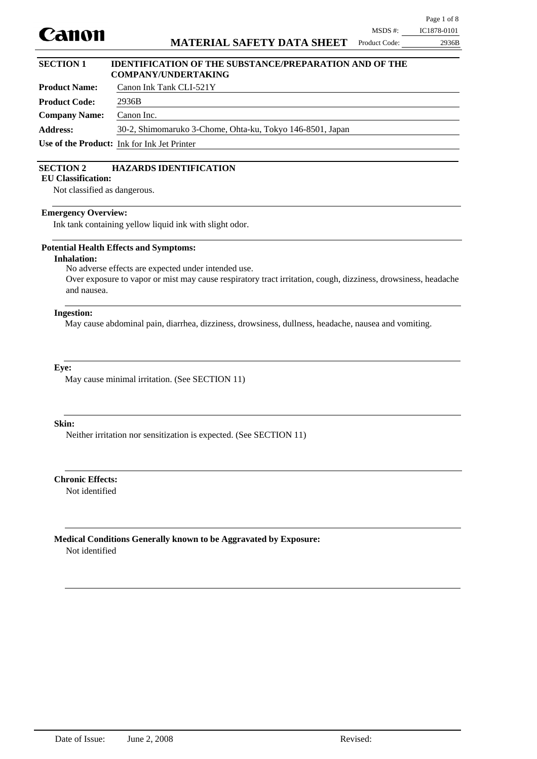

## Product Code: 2936B

## **Product Name:** Canon Ink Tank CLI-521Y **Product Code:** 2936B **SECTION 1 IDENTIFICATION OF THE SUBSTANCE/PREPARATION AND OF THE COMPANY/UNDERTAKING**

**Address:** 30-2, Shimomaruko 3-Chome, Ohta-ku, Tokyo 146-8501, Japan

**Use of the Product:** Ink for Ink Jet Printer

### **SECTION 2 HAZARDS IDENTIFICATION**

**EU Classification:**

Not classified as dangerous.

**Company Name:** Canon Inc.

#### **Emergency Overview:**

Ink tank containing yellow liquid ink with slight odor.

#### **Potential Health Effects and Symptoms:**

**Inhalation:**

No adverse effects are expected under intended use.

Over exposure to vapor or mist may cause respiratory tract irritation, cough, dizziness, drowsiness, headache and nausea.

#### **Ingestion:**

May cause abdominal pain, diarrhea, dizziness, drowsiness, dullness, headache, nausea and vomiting.

#### **Eye:**

May cause minimal irritation. (See SECTION 11)

#### **Skin:**

Neither irritation nor sensitization is expected. (See SECTION 11)

Not identified **Chronic Effects:**

Not identified **Medical Conditions Generally known to be Aggravated by Exposure:**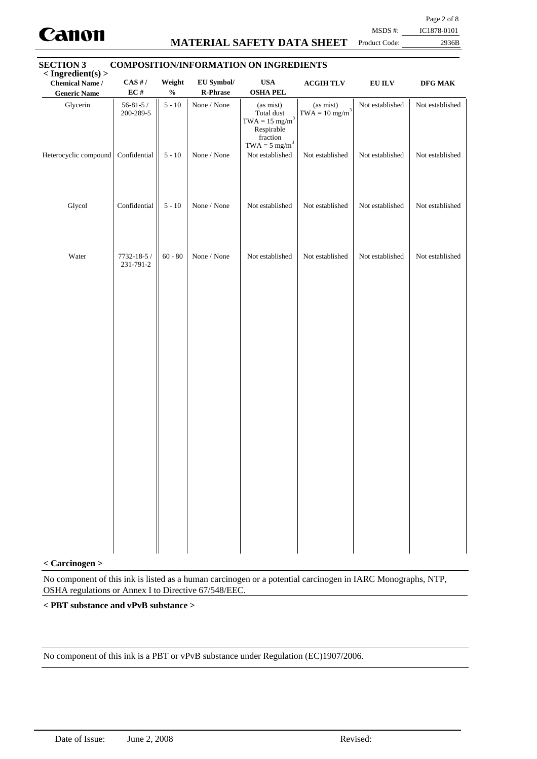

## **MATERIAL SAFETY DATA SHEET**

Page 2 of 8

MSDS #: IC1878-0101

## Product Code: 2936B

| <b>SECTION 3</b><br><b>COMPOSITION/INFORMATION ON INGREDIENTS</b><br>$<$ Ingredient(s) $>$ |                          |                                              |                               |                                                                                                                      |                                           |                 |                                                 |
|--------------------------------------------------------------------------------------------|--------------------------|----------------------------------------------|-------------------------------|----------------------------------------------------------------------------------------------------------------------|-------------------------------------------|-----------------|-------------------------------------------------|
| <b>Chemical Name /</b><br><b>Generic Name</b>                                              | $CAS$ #/<br>EC#          | Weight<br>$\mathbf{0}_{\mathbf{0}}^{\prime}$ | EU Symbol/<br><b>R-Phrase</b> | <b>USA</b><br><b>OSHA PEL</b>                                                                                        | <b>ACGIHTLV</b>                           | <b>EU ILV</b>   | $\operatorname{\bf DFG} \operatorname{\bf MAK}$ |
| Glycerin                                                                                   | 56-81-5 /<br>200-289-5   | $5 - 10$                                     | None / None                   | (as mist)<br>Total dust<br>$TWA = 15$ mg/m <sup>3</sup><br>Respirable<br>fraction<br>$\text{TWA} = 5 \text{ mg/m}^3$ | (as mist)<br>$TWA = 10$ mg/m <sup>3</sup> | Not established | Not established                                 |
| Heterocyclic compound                                                                      | Confidential             | $5 - 10$                                     | None / None                   | Not established                                                                                                      | Not established                           | Not established | Not established                                 |
| Glycol                                                                                     | Confidential             | $5 - 10$                                     | None / None                   | Not established                                                                                                      | Not established                           | Not established | Not established                                 |
| Water                                                                                      | 7732-18-5 /<br>231-791-2 | $60 - 80$                                    | None / None                   | Not established                                                                                                      | Not established                           | Not established | Not established                                 |

#### **< Carcinogen >**

No component of this ink is listed as a human carcinogen or a potential carcinogen in IARC Monographs, NTP, OSHA regulations or Annex I to Directive 67/548/EEC.

#### **< PBT substance and vPvB substance >**

No component of this ink is a PBT or vPvB substance under Regulation (EC)1907/2006.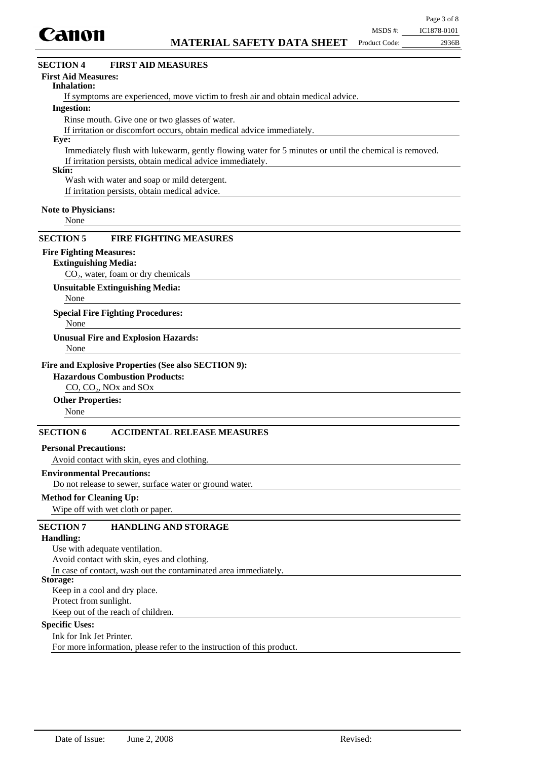

## $CO<sub>2</sub>$ , water, foam or dry chemicals **Extinguishing Media:** None **Special Fire Fighting Procedures:** None **Unusual Fire and Explosion Hazards:** CO, CO<sub>2</sub>, NO<sub>x</sub> and SO<sub>x</sub> **Hazardous Combustion Products:** None **Other Properties:** Avoid contact with skin, eyes and clothing. **Personal Precautions:** Do not release to sewer, surface water or ground water. **Environmental Precautions:** Wipe off with wet cloth or paper. **Method for Cleaning Up: Fire and Explosive Properties (See also SECTION 9): Unsuitable Extinguishing Media:** None **SECTION 6 ACCIDENTAL RELEASE MEASURES SECTION 5 FIRE FIGHTING MEASURES** Use with adequate ventilation. Avoid contact with skin, eyes and clothing. In case of contact, wash out the contaminated area immediately. **Handling: Storage: SECTION 7 HANDLING AND STORAGE** If symptoms are experienced, move victim to fresh air and obtain medical advice. **Inhalation:** Rinse mouth. Give one or two glasses of water. If irritation or discomfort occurs, obtain medical advice immediately. **Ingestion:** Immediately flush with lukewarm, gently flowing water for 5 minutes or until the chemical is removed. If irritation persists, obtain medical advice immediately. **Eye: Note to Physicians: First Aid Measures: SECTION 4 FIRST AID MEASURES** None **Skin:** Wash with water and soap or mild detergent. If irritation persists, obtain medical advice. **Fire Fighting Measures:**

Keep in a cool and dry place.

Protect from sunlight. Keep out of the reach of children.

#### **Specific Uses:**

Ink for Ink Jet Printer. For more information, please refer to the instruction of this product.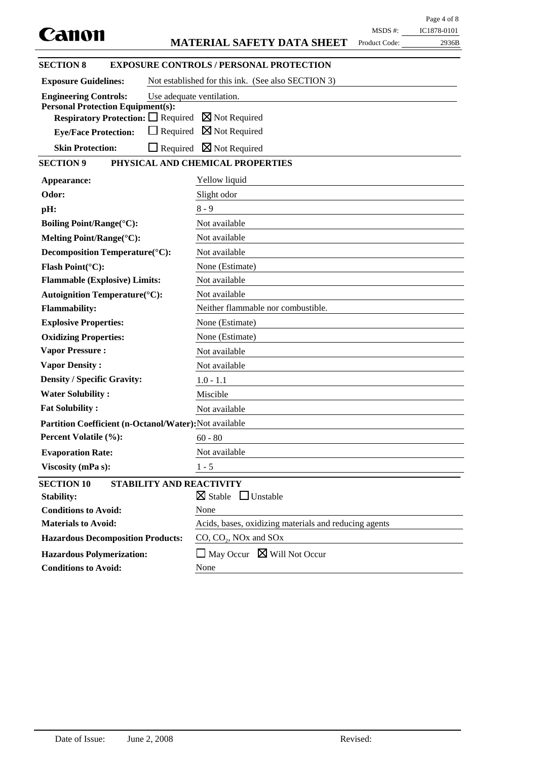|                                                                                            |                                                       |               | Page 4 of 8 |
|--------------------------------------------------------------------------------------------|-------------------------------------------------------|---------------|-------------|
| Canon                                                                                      |                                                       | MSDS #:       | IC1878-0101 |
|                                                                                            | <b>MATERIAL SAFETY DATA SHEET</b>                     | Product Code: | 2936B       |
| <b>SECTION 8</b>                                                                           | <b>EXPOSURE CONTROLS / PERSONAL PROTECTION</b>        |               |             |
| <b>Exposure Guidelines:</b>                                                                | Not established for this ink. (See also SECTION 3)    |               |             |
| <b>Engineering Controls:</b>                                                               | Use adequate ventilation.                             |               |             |
| <b>Personal Protection Equipment(s):</b>                                                   |                                                       |               |             |
| <b>Respiratory Protection:</b> $\Box$ Required $\boxtimes$ Not Required<br>$\Box$ Required | $\boxtimes$ Not Required                              |               |             |
| <b>Eye/Face Protection:</b>                                                                |                                                       |               |             |
| <b>Skin Protection:</b>                                                                    | $\Box$ Required $\boxtimes$ Not Required              |               |             |
| <b>SECTION 9</b>                                                                           | PHYSICAL AND CHEMICAL PROPERTIES                      |               |             |
| Appearance:                                                                                | Yellow liquid                                         |               |             |
| Odor:                                                                                      | Slight odor                                           |               |             |
| pH:                                                                                        | $8 - 9$                                               |               |             |
| <b>Boiling Point/Range(°C):</b>                                                            | Not available                                         |               |             |
| Melting Point/Range(°C):                                                                   | Not available                                         |               |             |
| Decomposition Temperature(°C):                                                             | Not available                                         |               |             |
| Flash Point(°C):                                                                           | None (Estimate)                                       |               |             |
| <b>Flammable (Explosive) Limits:</b>                                                       | Not available                                         |               |             |
| <b>Autoignition Temperature(°C):</b>                                                       | Not available                                         |               |             |
| <b>Flammability:</b>                                                                       | Neither flammable nor combustible.                    |               |             |
| <b>Explosive Properties:</b>                                                               | None (Estimate)                                       |               |             |
| <b>Oxidizing Properties:</b>                                                               | None (Estimate)                                       |               |             |
| <b>Vapor Pressure:</b>                                                                     | Not available                                         |               |             |
| <b>Vapor Density:</b>                                                                      | Not available                                         |               |             |
| <b>Density / Specific Gravity:</b>                                                         | $1.0 - 1.1$                                           |               |             |
| <b>Water Solubility:</b>                                                                   | Miscible                                              |               |             |
| <b>Fat Solubility:</b>                                                                     | Not available                                         |               |             |
| Partition Coefficient (n-Octanol/Water): Not available                                     |                                                       |               |             |
| Percent Volatile (%):                                                                      | $60 - 80$                                             |               |             |
| <b>Evaporation Rate:</b>                                                                   | Not available                                         |               |             |
| Viscosity (mPa s):                                                                         | $1 - 5$                                               |               |             |
| <b>SECTION 10</b><br>STABILITY AND REACTIVITY                                              |                                                       |               |             |
| <b>Stability:</b>                                                                          | $\boxtimes$ Stable<br>$\Box$ Unstable                 |               |             |
| <b>Conditions to Avoid:</b>                                                                | None                                                  |               |             |
| <b>Materials to Avoid:</b>                                                                 | Acids, bases, oxidizing materials and reducing agents |               |             |
| <b>Hazardous Decomposition Products:</b>                                                   | $CO$ , $CO2$ , NOx and SOx                            |               |             |
| <b>Hazardous Polymerization:</b>                                                           | $\Box$ May Occur $\boxtimes$ Will Not Occur           |               |             |
| <b>Conditions to Avoid:</b>                                                                | None                                                  |               |             |
|                                                                                            |                                                       |               |             |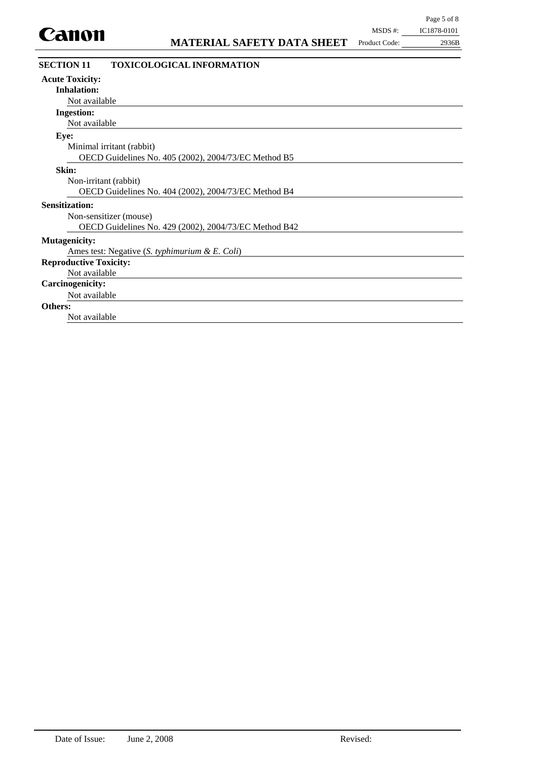|               | $\ldots$    |
|---------------|-------------|
| MSDS #:       | IC1878-0101 |
| Product Code: | 2936B       |

| <b>SECTION 11</b>             | <b>TOXICOLOGICAL INFORMATION</b>                      |
|-------------------------------|-------------------------------------------------------|
| <b>Acute Toxicity:</b>        |                                                       |
| <b>Inhalation:</b>            |                                                       |
| Not available                 |                                                       |
| <b>Ingestion:</b>             |                                                       |
| Not available                 |                                                       |
| Eye:                          |                                                       |
|                               | Minimal irritant (rabbit)                             |
|                               | OECD Guidelines No. 405 (2002), 2004/73/EC Method B5  |
| Skin:                         |                                                       |
| Non-irritant (rabbit)         |                                                       |
|                               | OECD Guidelines No. 404 (2002), 2004/73/EC Method B4  |
| <b>Sensitization:</b>         |                                                       |
|                               | Non-sensitizer (mouse)                                |
|                               | OECD Guidelines No. 429 (2002), 2004/73/EC Method B42 |
| <b>Mutagenicity:</b>          |                                                       |
|                               | Ames test: Negative (S. typhimurium & E. Coli)        |
| <b>Reproductive Toxicity:</b> |                                                       |
| Not available                 |                                                       |
| <b>Carcinogenicity:</b>       |                                                       |
| Not available                 |                                                       |
| Others:                       |                                                       |
| Not available                 |                                                       |
|                               |                                                       |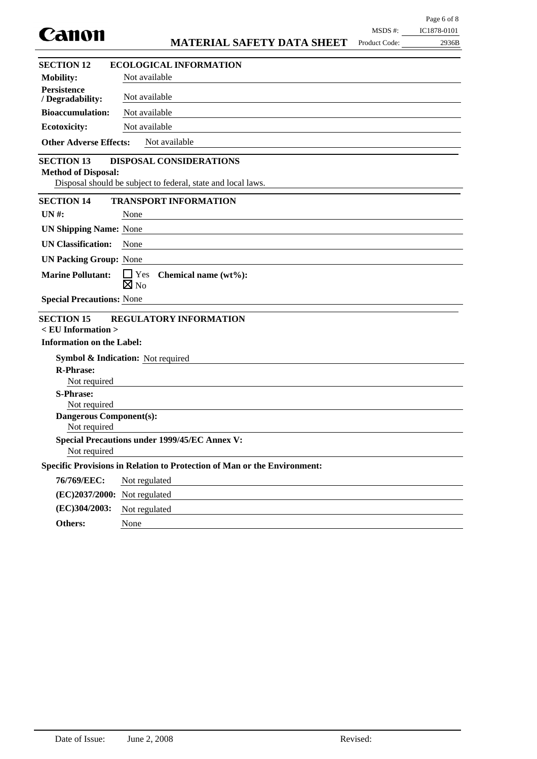| Canon                                  |                                                                          | MSDS #:       | IC1878-0101 |  |  |
|----------------------------------------|--------------------------------------------------------------------------|---------------|-------------|--|--|
|                                        | <b>MATERIAL SAFETY DATA SHEET</b>                                        | Product Code: | 2936B       |  |  |
| <b>SECTION 12</b>                      | <b>ECOLOGICAL INFORMATION</b>                                            |               |             |  |  |
| <b>Mobility:</b>                       | Not available                                                            |               |             |  |  |
| <b>Persistence</b><br>/ Degradability: | Not available                                                            |               |             |  |  |
| <b>Bioaccumulation:</b>                | Not available                                                            |               |             |  |  |
| <b>Ecotoxicity:</b>                    | Not available                                                            |               |             |  |  |
| <b>Other Adverse Effects:</b>          | Not available                                                            |               |             |  |  |
| <b>SECTION 13</b>                      | DISPOSAL CONSIDERATIONS                                                  |               |             |  |  |
| <b>Method of Disposal:</b>             |                                                                          |               |             |  |  |
|                                        | Disposal should be subject to federal, state and local laws.             |               |             |  |  |
| <b>SECTION 14</b>                      | <b>TRANSPORT INFORMATION</b>                                             |               |             |  |  |
| $UN#$ :                                | None                                                                     |               |             |  |  |
| <b>UN Shipping Name: None</b>          |                                                                          |               |             |  |  |
| <b>UN Classification:</b>              | None                                                                     |               |             |  |  |
| <b>UN Packing Group: None</b>          |                                                                          |               |             |  |  |
| <b>Marine Pollutant:</b>               | $\Box$ Yes<br>Chemical name (wt%):<br>$\boxtimes$ No                     |               |             |  |  |
| <b>Special Precautions: None</b>       |                                                                          |               |             |  |  |
| <b>SECTION 15</b>                      | <b>REGULATORY INFORMATION</b>                                            |               |             |  |  |
| $\epsilon$ EU Information $>$          |                                                                          |               |             |  |  |
| <b>Information on the Label:</b>       |                                                                          |               |             |  |  |
|                                        | <b>Symbol &amp; Indication:</b> Not required                             |               |             |  |  |
| <b>R-Phrase:</b>                       |                                                                          |               |             |  |  |
| Not required<br><b>S-Phrase:</b>       |                                                                          |               |             |  |  |
| Not required                           |                                                                          |               |             |  |  |
| <b>Dangerous Component(s):</b>         |                                                                          |               |             |  |  |
| Not required                           |                                                                          |               |             |  |  |
|                                        | <b>Special Precautions under 1999/45/EC Annex V:</b>                     |               |             |  |  |
| Not required                           |                                                                          |               |             |  |  |
|                                        | Specific Provisions in Relation to Protection of Man or the Environment: |               |             |  |  |
| 76/769/EEC:                            | Not regulated                                                            |               |             |  |  |
| (EC)2037/2000: Not regulated           |                                                                          |               |             |  |  |
| (EC)304/2003:                          | Not regulated                                                            |               |             |  |  |
| Others:                                | None                                                                     |               |             |  |  |

Page 6 of 8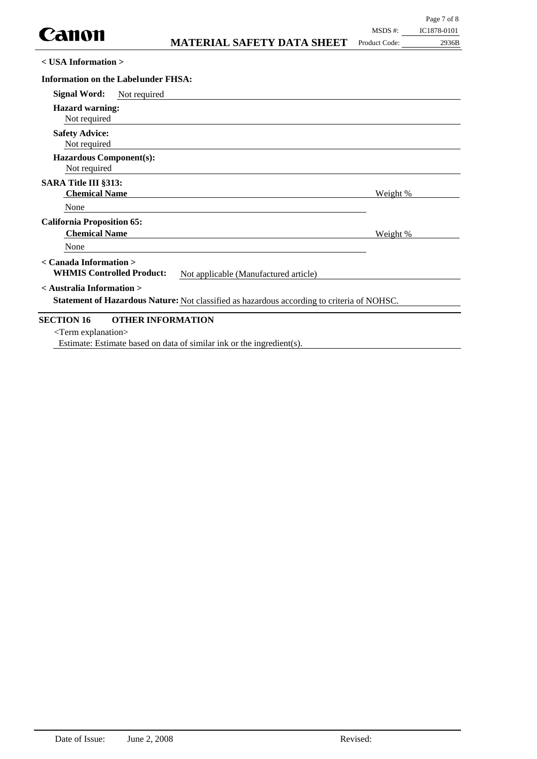|                                                     |              | <b>MATERIAL SAFETY DATA SHEET</b> | Product Code: | 2936B |
|-----------------------------------------------------|--------------|-----------------------------------|---------------|-------|
| $\langle$ USA Information $\rangle$                 |              |                                   |               |       |
| <b>Information on the Labelunder FHSA:</b>          |              |                                   |               |       |
| <b>Signal Word:</b>                                 | Not required |                                   |               |       |
| <b>Hazard warning:</b><br>Not required              |              |                                   |               |       |
| <b>Safety Advice:</b><br>Not required               |              |                                   |               |       |
| <b>Hazardous Component(s):</b><br>Not required      |              |                                   |               |       |
| <b>SARA Title III §313:</b><br><b>Chemical Name</b> |              |                                   | Weight %      |       |
| None                                                |              |                                   |               |       |
| <b>California Proposition 65:</b>                   |              |                                   |               |       |
| <b>Chemical Name</b>                                |              |                                   | Weight %      |       |
| None                                                |              |                                   |               |       |

## **< Australia Information >**

**Statement of Hazardous Nature:** Not classified as hazardous according to criteria of NOHSC.

## **SECTION 16 OTHER INFORMATION**

<Term explanation>

**< Canada Information >**

Estimate: Estimate based on data of similar ink or the ingredient(s).

WHMIS Controlled Product: Not applicable (Manufactured article)